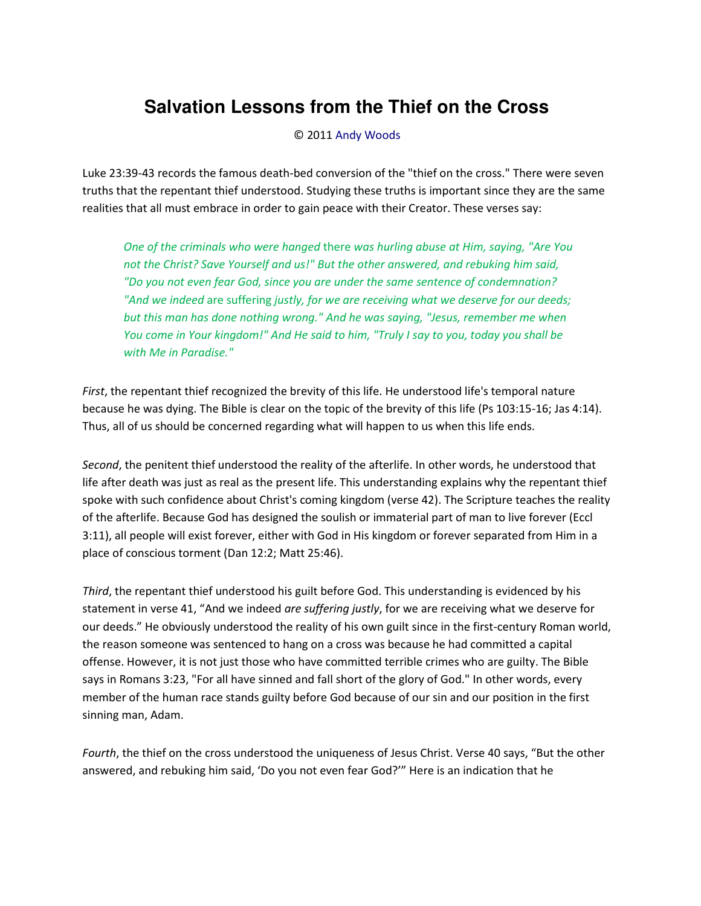## **Salvation Lessons from the Thief on the Cross**

© 2011 [Andy Woods](http://www.spiritandtruth.org/id/aw.htm)

Luke 23:39-43 records the famous death-bed conversion of the "thief on the cross." There were seven truths that the repentant thief understood. Studying these truths is important since they are the same realities that all must embrace in order to gain peace with their Creator. These verses say:

*One of the criminals who were hanged* there *was hurling abuse at Him, saying, "Are You not the Christ? Save Yourself and us!" But the other answered, and rebuking him said, "Do you not even fear God, since you are under the same sentence of condemnation? "And we indeed* are suffering *justly, for we are receiving what we deserve for our deeds; but this man has done nothing wrong." And he was saying, "Jesus, remember me when You come in Your kingdom!" And He said to him, "Truly I say to you, today you shall be with Me in Paradise."* 

*First*, the repentant thief recognized the brevity of this life. He understood life's temporal nature because he was dying. The Bible is clear on the topic of the brevity of this life (Ps 103:15-16; Jas 4:14). Thus, all of us should be concerned regarding what will happen to us when this life ends.

*Second*, the penitent thief understood the reality of the afterlife. In other words, he understood that life after death was just as real as the present life. This understanding explains why the repentant thief spoke with such confidence about Christ's coming kingdom (verse 42). The Scripture teaches the reality of the afterlife. Because God has designed the soulish or immaterial part of man to live forever (Eccl 3:11), all people will exist forever, either with God in His kingdom or forever separated from Him in a place of conscious torment (Dan 12:2; Matt 25:46).

*Third*, the repentant thief understood his guilt before God. This understanding is evidenced by his statement in verse 41, "And we indeed *are suffering justly*, for we are receiving what we deserve for our deeds." He obviously understood the reality of his own guilt since in the first-century Roman world, the reason someone was sentenced to hang on a cross was because he had committed a capital offense. However, it is not just those who have committed terrible crimes who are guilty. The Bible says in Romans 3:23, "For all have sinned and fall short of the glory of God." In other words, every member of the human race stands guilty before God because of our sin and our position in the first sinning man, Adam.

*Fourth*, the thief on the cross understood the uniqueness of Jesus Christ. Verse 40 says, "But the other answered, and rebuking him said, 'Do you not even fear God?'" Here is an indication that he